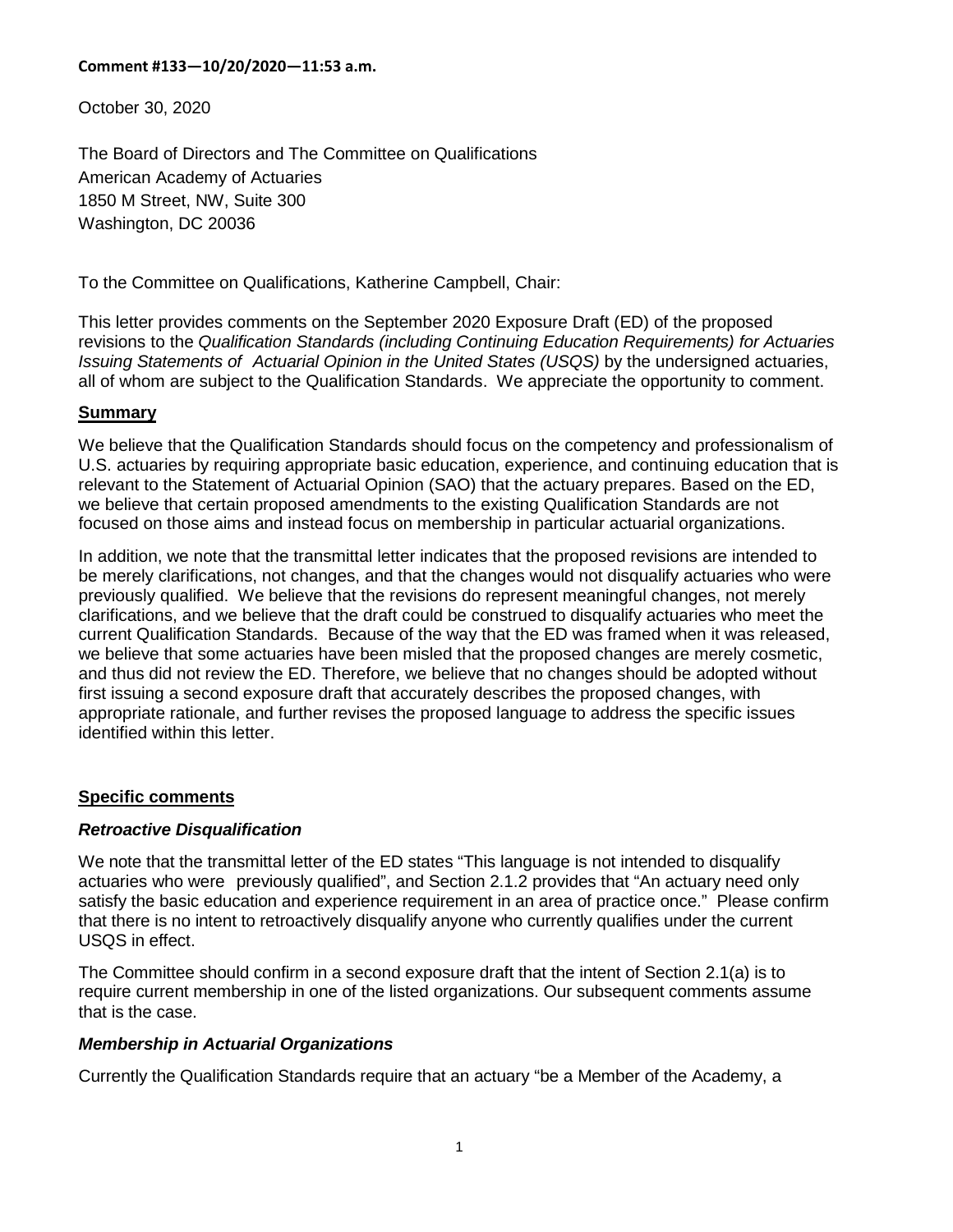October 30, 2020

The Board of Directors and The Committee on Qualifications American Academy of Actuaries 1850 M Street, NW, Suite 300 Washington, DC 20036

To the Committee on Qualifications, Katherine Campbell, Chair:

This letter provides comments on the September 2020 Exposure Draft (ED) of the proposed revisions to the *Qualification Standards (including Continuing Education Requirements) for Actuaries Issuing Statements of Actuarial Opinion in the United States (USQS)* by the undersigned actuaries, all of whom are subject to the Qualification Standards. We appreciate the opportunity to comment.

### **Summary**

We believe that the Qualification Standards should focus on the competency and professionalism of U.S. actuaries by requiring appropriate basic education, experience, and continuing education that is relevant to the Statement of Actuarial Opinion (SAO) that the actuary prepares. Based on the ED, we believe that certain proposed amendments to the existing Qualification Standards are not focused on those aims and instead focus on membership in particular actuarial organizations.

In addition, we note that the transmittal letter indicates that the proposed revisions are intended to be merely clarifications, not changes, and that the changes would not disqualify actuaries who were previously qualified. We believe that the revisions do represent meaningful changes, not merely clarifications, and we believe that the draft could be construed to disqualify actuaries who meet the current Qualification Standards. Because of the way that the ED was framed when it was released, we believe that some actuaries have been misled that the proposed changes are merely cosmetic, and thus did not review the ED. Therefore, we believe that no changes should be adopted without first issuing a second exposure draft that accurately describes the proposed changes, with appropriate rationale, and further revises the proposed language to address the specific issues identified within this letter.

## **Specific comments**

## *Retroactive Disqualification*

We note that the transmittal letter of the ED states "This language is not intended to disqualify actuaries who were previously qualified", and Section 2.1.2 provides that "An actuary need only satisfy the basic education and experience requirement in an area of practice once." Please confirm that there is no intent to retroactively disqualify anyone who currently qualifies under the current USQS in effect.

The Committee should confirm in a second exposure draft that the intent of Section 2.1(a) is to require current membership in one of the listed organizations. Our subsequent comments assume that is the case.

## *Membership in Actuarial Organizations*

Currently the Qualification Standards require that an actuary "be a Member of the Academy, a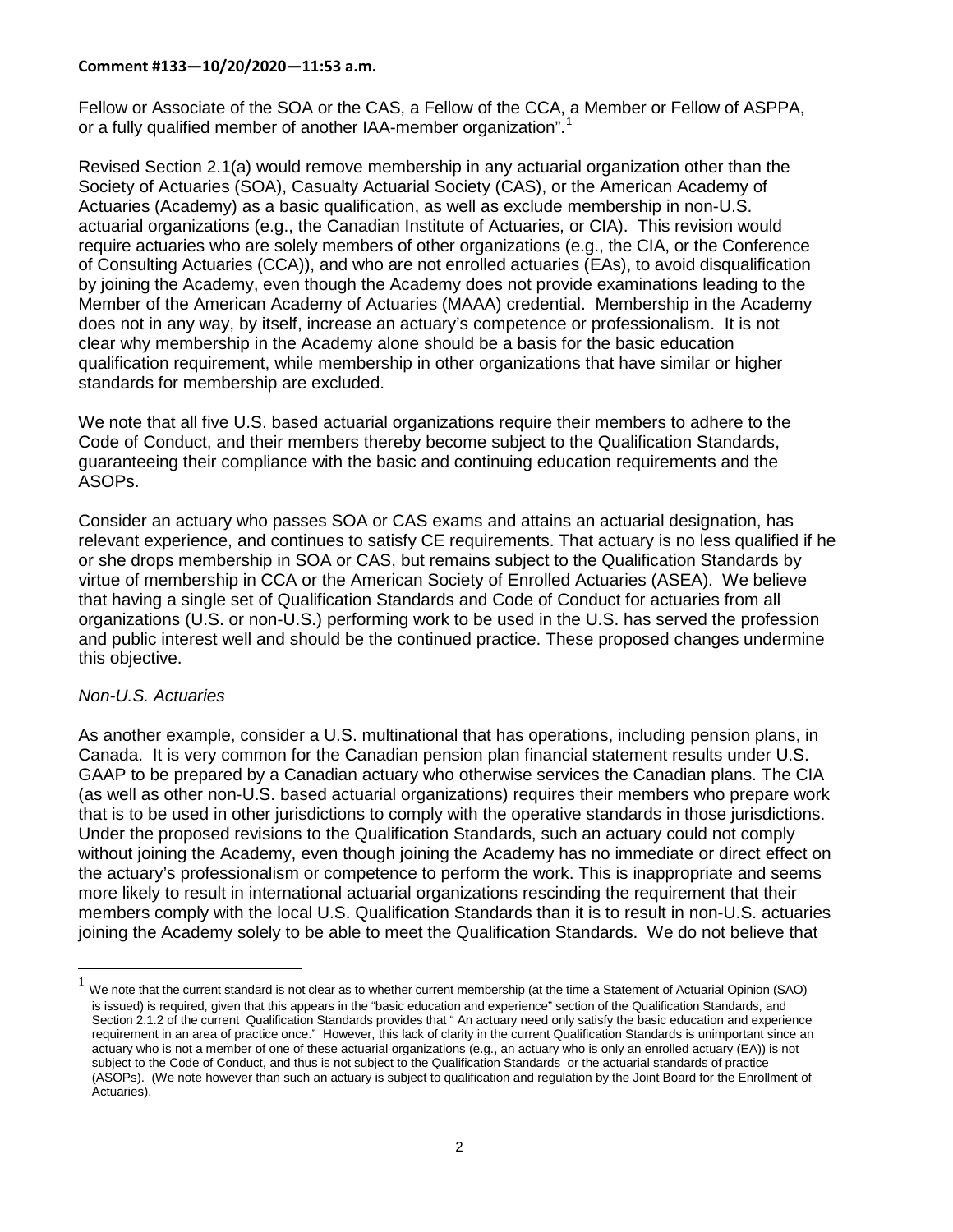Fellow or Associate of the SOA or the CAS, a Fellow of the CCA, a Member or Fellow of ASPPA, or a fully qualified member of another IAA-member organization".<sup>[1](#page-1-0)</sup>

Revised Section 2.1(a) would remove membership in any actuarial organization other than the Society of Actuaries (SOA), Casualty Actuarial Society (CAS), or the American Academy of Actuaries (Academy) as a basic qualification, as well as exclude membership in non-U.S. actuarial organizations (e.g., the Canadian Institute of Actuaries, or CIA). This revision would require actuaries who are solely members of other organizations (e.g., the CIA, or the Conference of Consulting Actuaries (CCA)), and who are not enrolled actuaries (EAs), to avoid disqualification by joining the Academy, even though the Academy does not provide examinations leading to the Member of the American Academy of Actuaries (MAAA) credential. Membership in the Academy does not in any way, by itself, increase an actuary's competence or professionalism. It is not clear why membership in the Academy alone should be a basis for the basic education qualification requirement, while membership in other organizations that have similar or higher standards for membership are excluded.

We note that all five U.S. based actuarial organizations require their members to adhere to the Code of Conduct, and their members thereby become subject to the Qualification Standards, guaranteeing their compliance with the basic and continuing education requirements and the ASOPs.

Consider an actuary who passes SOA or CAS exams and attains an actuarial designation, has relevant experience, and continues to satisfy CE requirements. That actuary is no less qualified if he or she drops membership in SOA or CAS, but remains subject to the Qualification Standards by virtue of membership in CCA or the American Society of Enrolled Actuaries (ASEA). We believe that having a single set of Qualification Standards and Code of Conduct for actuaries from all organizations (U.S. or non-U.S.) performing work to be used in the U.S. has served the profession and public interest well and should be the continued practice. These proposed changes undermine this objective.

## *Non-U.S. Actuaries*

As another example, consider a U.S. multinational that has operations, including pension plans, in Canada. It is very common for the Canadian pension plan financial statement results under U.S. GAAP to be prepared by a Canadian actuary who otherwise services the Canadian plans. The CIA (as well as other non-U.S. based actuarial organizations) requires their members who prepare work that is to be used in other jurisdictions to comply with the operative standards in those jurisdictions. Under the proposed revisions to the Qualification Standards, such an actuary could not comply without joining the Academy, even though joining the Academy has no immediate or direct effect on the actuary's professionalism or competence to perform the work. This is inappropriate and seems more likely to result in international actuarial organizations rescinding the requirement that their members comply with the local U.S. Qualification Standards than it is to result in non-U.S. actuaries joining the Academy solely to be able to meet the Qualification Standards. We do not believe that

<span id="page-1-0"></span><sup>1</sup> We note that the current standard is not clear as to whether current membership (at the time a Statement of Actuarial Opinion (SAO) is issued) is required, given that this appears in the "basic education and experience" section of the Qualification Standards, and Section 2.1.2 of the current Qualification Standards provides that " An actuary need only satisfy the basic education and experience requirement in an area of practice once." However, this lack of clarity in the current Qualification Standards is unimportant since an actuary who is not a member of one of these actuarial organizations (e.g., an actuary who is only an enrolled actuary (EA)) is not subject to the Code of Conduct, and thus is not subject to the Qualification Standards or the actuarial standards of practice (ASOPs). (We note however than such an actuary is subject to qualification and regulation by the Joint Board for the Enrollment of Actuaries).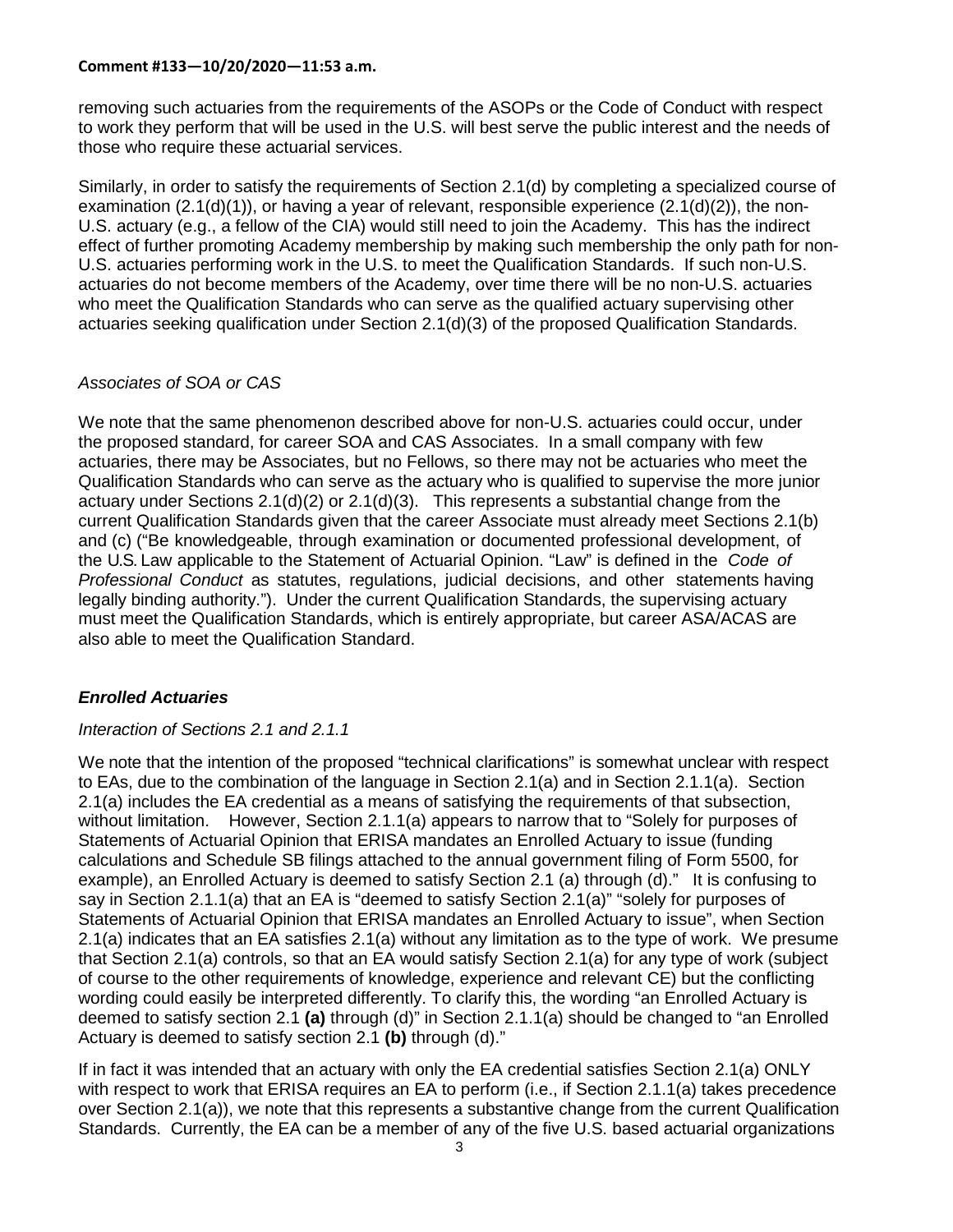removing such actuaries from the requirements of the ASOPs or the Code of Conduct with respect to work they perform that will be used in the U.S. will best serve the public interest and the needs of those who require these actuarial services.

Similarly, in order to satisfy the requirements of Section 2.1(d) by completing a specialized course of examination  $(2.1(d)(1))$ , or having a year of relevant, responsible experience  $(2.1(d)(2))$ , the non-U.S. actuary (e.g., a fellow of the CIA) would still need to join the Academy. This has the indirect effect of further promoting Academy membership by making such membership the only path for non-U.S. actuaries performing work in the U.S. to meet the Qualification Standards. If such non-U.S. actuaries do not become members of the Academy, over time there will be no non-U.S. actuaries who meet the Qualification Standards who can serve as the qualified actuary supervising other actuaries seeking qualification under Section 2.1(d)(3) of the proposed Qualification Standards.

## *Associates of SOA or CAS*

We note that the same phenomenon described above for non-U.S. actuaries could occur, under the proposed standard, for career SOA and CAS Associates. In a small company with few actuaries, there may be Associates, but no Fellows, so there may not be actuaries who meet the Qualification Standards who can serve as the actuary who is qualified to supervise the more junior actuary under Sections 2.1(d)(2) or 2.1(d)(3). This represents a substantial change from the current Qualification Standards given that the career Associate must already meet Sections 2.1(b) and (c) ("Be knowledgeable, through examination or documented professional development, of the U.S. Law applicable to the Statement of Actuarial Opinion. "Law" is defined in the *Code of Professional Conduct* as statutes, regulations, judicial decisions, and other statements having legally binding authority."). Under the current Qualification Standards, the supervising actuary must meet the Qualification Standards, which is entirely appropriate, but career ASA/ACAS are also able to meet the Qualification Standard.

# *Enrolled Actuaries*

# *Interaction of Sections 2.1 and 2.1.1*

We note that the intention of the proposed "technical clarifications" is somewhat unclear with respect to EAs, due to the combination of the language in Section 2.1(a) and in Section 2.1.1(a). Section 2.1(a) includes the EA credential as a means of satisfying the requirements of that subsection, without limitation. However, Section 2.1.1(a) appears to narrow that to "Solely for purposes of Statements of Actuarial Opinion that ERISA mandates an Enrolled Actuary to issue (funding calculations and Schedule SB filings attached to the annual government filing of Form 5500, for example), an Enrolled Actuary is deemed to satisfy Section 2.1 (a) through (d)." It is confusing to say in Section 2.1.1(a) that an EA is "deemed to satisfy Section 2.1(a)" "solely for purposes of Statements of Actuarial Opinion that ERISA mandates an Enrolled Actuary to issue", when Section 2.1(a) indicates that an EA satisfies 2.1(a) without any limitation as to the type of work. We presume that Section 2.1(a) controls, so that an EA would satisfy Section 2.1(a) for any type of work (subject of course to the other requirements of knowledge, experience and relevant CE) but the conflicting wording could easily be interpreted differently. To clarify this, the wording "an Enrolled Actuary is deemed to satisfy section 2.1 **(a)** through (d)" in Section 2.1.1(a) should be changed to "an Enrolled Actuary is deemed to satisfy section 2.1 **(b)** through (d)."

If in fact it was intended that an actuary with only the EA credential satisfies Section 2.1(a) ONLY with respect to work that ERISA requires an EA to perform (i.e., if Section 2.1.1(a) takes precedence over Section 2.1(a)), we note that this represents a substantive change from the current Qualification Standards. Currently, the EA can be a member of any of the five U.S. based actuarial organizations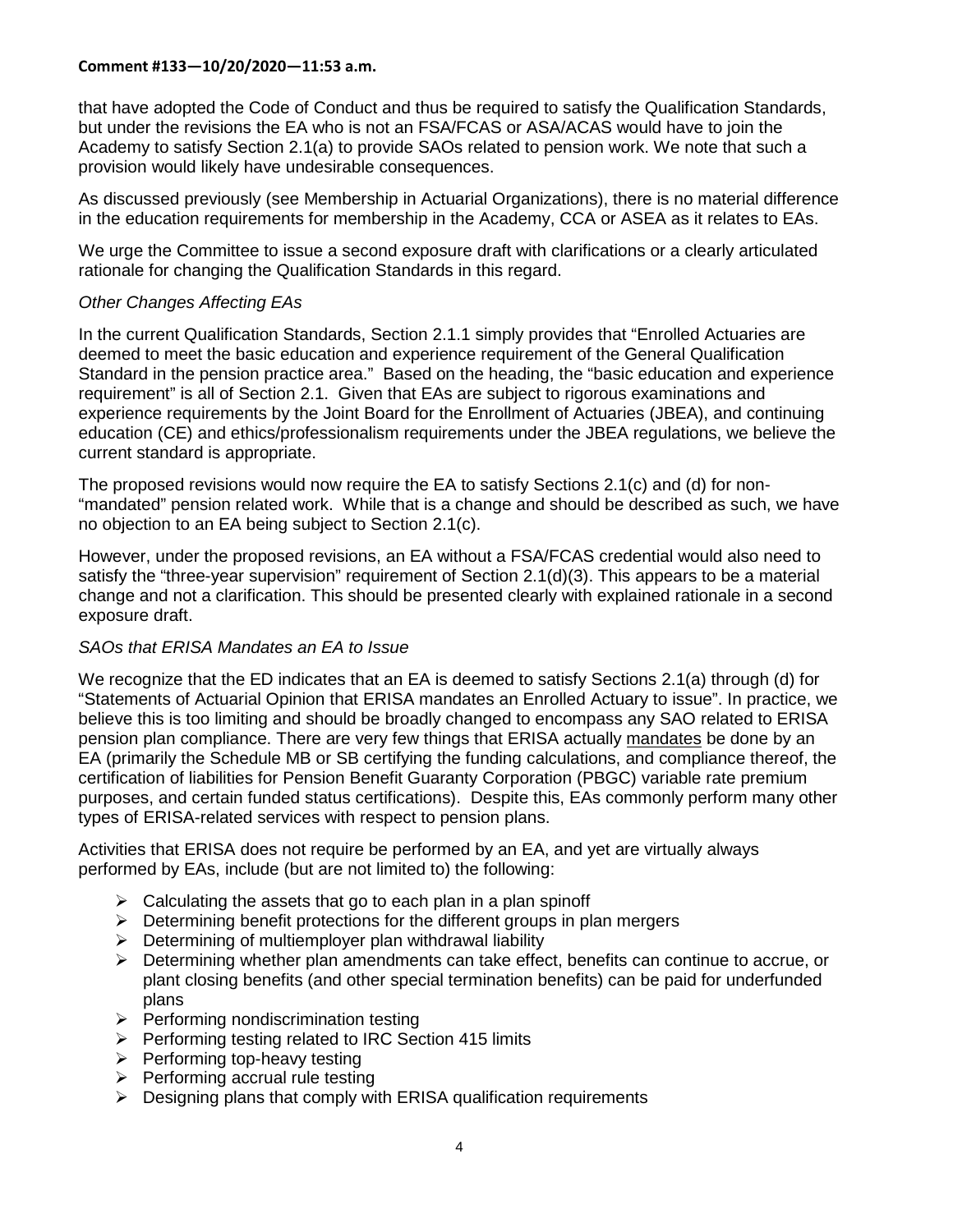that have adopted the Code of Conduct and thus be required to satisfy the Qualification Standards, but under the revisions the EA who is not an FSA/FCAS or ASA/ACAS would have to join the Academy to satisfy Section 2.1(a) to provide SAOs related to pension work. We note that such a provision would likely have undesirable consequences.

As discussed previously (see Membership in Actuarial Organizations), there is no material difference in the education requirements for membership in the Academy, CCA or ASEA as it relates to EAs.

We urge the Committee to issue a second exposure draft with clarifications or a clearly articulated rationale for changing the Qualification Standards in this regard.

### *Other Changes Affecting EAs*

In the current Qualification Standards, Section 2.1.1 simply provides that "Enrolled Actuaries are deemed to meet the basic education and experience requirement of the General Qualification Standard in the pension practice area." Based on the heading, the "basic education and experience requirement" is all of Section 2.1. Given that EAs are subject to rigorous examinations and experience requirements by the Joint Board for the Enrollment of Actuaries (JBEA), and continuing education (CE) and ethics/professionalism requirements under the JBEA regulations, we believe the current standard is appropriate.

The proposed revisions would now require the EA to satisfy Sections 2.1(c) and (d) for non- "mandated" pension related work. While that is a change and should be described as such, we have no objection to an EA being subject to Section 2.1(c).

However, under the proposed revisions, an EA without a FSA/FCAS credential would also need to satisfy the "three-year supervision" requirement of Section 2.1(d)(3). This appears to be a material change and not a clarification. This should be presented clearly with explained rationale in a second exposure draft.

## *SAOs that ERISA Mandates an EA to Issue*

We recognize that the ED indicates that an EA is deemed to satisfy Sections 2.1(a) through (d) for "Statements of Actuarial Opinion that ERISA mandates an Enrolled Actuary to issue". In practice, we believe this is too limiting and should be broadly changed to encompass any SAO related to ERISA pension plan compliance. There are very few things that ERISA actually mandates be done by an EA (primarily the Schedule MB or SB certifying the funding calculations, and compliance thereof, the certification of liabilities for Pension Benefit Guaranty Corporation (PBGC) variable rate premium purposes, and certain funded status certifications). Despite this, EAs commonly perform many other types of ERISA-related services with respect to pension plans.

Activities that ERISA does not require be performed by an EA, and yet are virtually always performed by EAs, include (but are not limited to) the following:

- $\triangleright$  Calculating the assets that go to each plan in a plan spinoff
- $\triangleright$  Determining benefit protections for the different groups in plan mergers
- $\triangleright$  Determining of multiemployer plan withdrawal liability
- $\triangleright$  Determining whether plan amendments can take effect, benefits can continue to accrue, or plant closing benefits (and other special termination benefits) can be paid for underfunded plans
- $\triangleright$  Performing nondiscrimination testing
- $\triangleright$  Performing testing related to IRC Section 415 limits
- $\triangleright$  Performing top-heavy testing
- $\triangleright$  Performing accrual rule testing
- $\triangleright$  Designing plans that comply with ERISA qualification requirements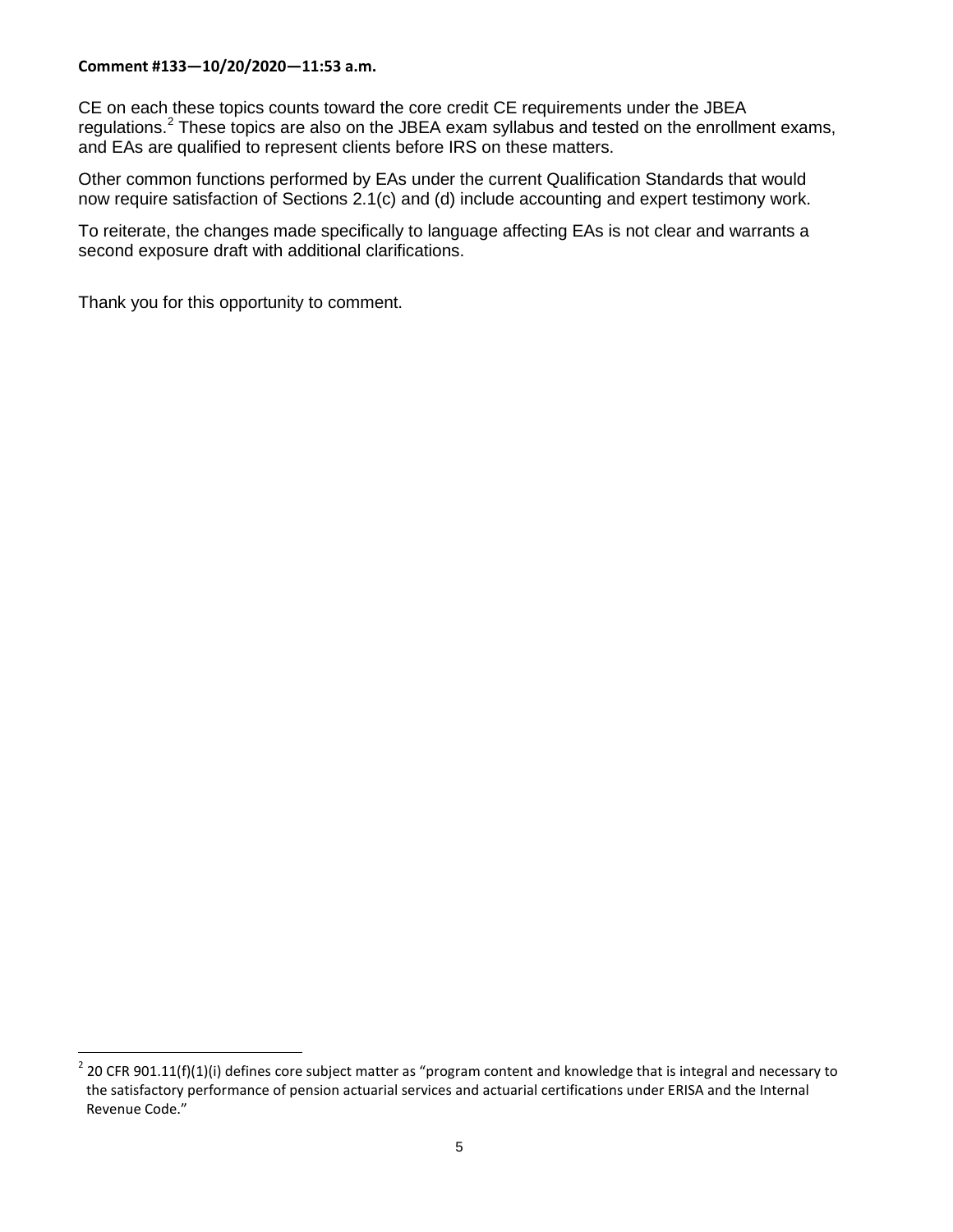CE on each these topics counts toward the core credit CE requirements under the JBEA regulations.<sup>[2](#page-4-0)</sup> These topics are also on the JBEA exam syllabus and tested on the enrollment exams, and EAs are qualified to represent clients before IRS on these matters.

Other common functions performed by EAs under the current Qualification Standards that would now require satisfaction of Sections 2.1(c) and (d) include accounting and expert testimony work.

To reiterate, the changes made specifically to language affecting EAs is not clear and warrants a second exposure draft with additional clarifications.

Thank you for this opportunity to comment.

<span id="page-4-0"></span> $2$  20 CFR 901.11(f)(1)(i) defines core subject matter as "program content and knowledge that is integral and necessary to the satisfactory performance of pension [actuarial services](https://www.law.cornell.edu/definitions/index.php?width=840&height=800&iframe=true&def_id=bdb12d6d8755c36c6ffdf62843e5ac45&term_occur=999&term_src=Title:20:Chapter:VIII:Part:901:Subpart:B:901.11) and actuarial certifications under [ERISA](https://www.law.cornell.edu/topn/erisa) and the [Internal](https://www.law.cornell.edu/topn/irc)  [Revenue Code.](https://www.law.cornell.edu/topn/irc)"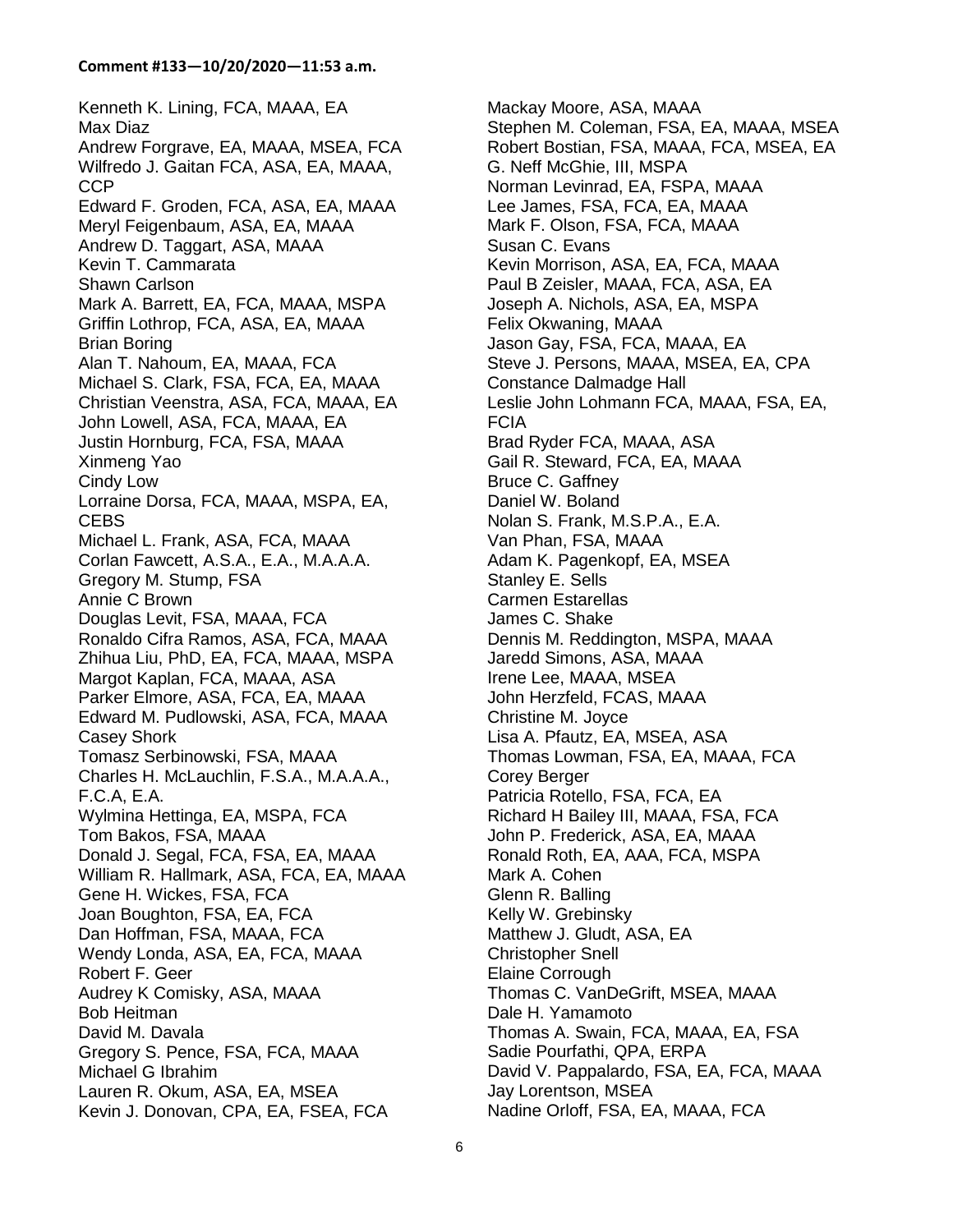Kenneth K. Lining, FCA, MAAA, EA Max Diaz Andrew Forgrave, EA, MAAA, MSEA, FCA Wilfredo J. Gaitan FCA, ASA, EA, MAAA, CCP Edward F. Groden, FCA, ASA, EA, MAAA Meryl Feigenbaum, ASA, EA, MAAA Andrew D. Taggart, ASA, MAAA Kevin T. Cammarata Shawn Carlson Mark A. Barrett, EA, FCA, MAAA, MSPA Griffin Lothrop, FCA, ASA, EA, MAAA Brian Boring Alan T. Nahoum, EA, MAAA, FCA Michael S. Clark, FSA, FCA, EA, MAAA Christian Veenstra, ASA, FCA, MAAA, EA John Lowell, ASA, FCA, MAAA, EA Justin Hornburg, FCA, FSA, MAAA Xinmeng Yao Cindy Low Lorraine Dorsa, FCA, MAAA, MSPA, EA, **CEBS** Michael L. Frank, ASA, FCA, MAAA Corlan Fawcett, A.S.A., E.A., M.A.A.A. Gregory M. Stump, FSA Annie C Brown Douglas Levit, FSA, MAAA, FCA Ronaldo Cifra Ramos, ASA, FCA, MAAA Zhihua Liu, PhD, EA, FCA, MAAA, MSPA Margot Kaplan, FCA, MAAA, ASA Parker Elmore, ASA, FCA, EA, MAAA Edward M. Pudlowski, ASA, FCA, MAAA Casey Shork Tomasz Serbinowski, FSA, MAAA Charles H. McLauchlin, F.S.A., M.A.A.A., F.C.A, E.A. Wylmina Hettinga, EA, MSPA, FCA Tom Bakos, FSA, MAAA Donald J. Segal, FCA, FSA, EA, MAAA William R. Hallmark, ASA, FCA, EA, MAAA Gene H. Wickes, FSA, FCA Joan Boughton, FSA, EA, FCA Dan Hoffman, FSA, MAAA, FCA Wendy Londa, ASA, EA, FCA, MAAA Robert F. Geer Audrey K Comisky, ASA, MAAA Bob Heitman David M. Davala Gregory S. Pence, FSA, FCA, MAAA Michael G Ibrahim Lauren R. Okum, ASA, EA, MSEA Kevin J. Donovan, CPA, EA, FSEA, FCA

Mackay Moore, ASA, MAAA Stephen M. Coleman, FSA, EA, MAAA, MSEA Robert Bostian, FSA, MAAA, FCA, MSEA, EA G. Neff McGhie, III, MSPA Norman Levinrad, EA, FSPA, MAAA Lee James, FSA, FCA, EA, MAAA Mark F. Olson, FSA, FCA, MAAA Susan C. Evans Kevin Morrison, ASA, EA, FCA, MAAA Paul B Zeisler, MAAA, FCA, ASA, EA Joseph A. Nichols, ASA, EA, MSPA Felix Okwaning, MAAA Jason Gay, FSA, FCA, MAAA, EA Steve J. Persons, MAAA, MSEA, EA, CPA Constance Dalmadge Hall Leslie John Lohmann FCA, MAAA, FSA, EA, FCIA Brad Ryder FCA, MAAA, ASA Gail R. Steward, FCA, EA, MAAA Bruce C. Gaffney Daniel W. Boland Nolan S. Frank, M.S.P.A., E.A. Van Phan, FSA, MAAA Adam K. Pagenkopf, EA, MSEA Stanley E. Sells Carmen Estarellas James C. Shake Dennis M. Reddington, MSPA, MAAA Jaredd Simons, ASA, MAAA Irene Lee, MAAA, MSEA John Herzfeld, FCAS, MAAA Christine M. Joyce Lisa A. Pfautz, EA, MSEA, ASA Thomas Lowman, FSA, EA, MAAA, FCA Corey Berger Patricia Rotello, FSA, FCA, EA Richard H Bailey III, MAAA, FSA, FCA John P. Frederick, ASA, EA, MAAA Ronald Roth, EA, AAA, FCA, MSPA Mark A. Cohen Glenn R. Balling Kelly W. Grebinsky Matthew J. Gludt, ASA, EA Christopher Snell Elaine Corrough Thomas C. VanDeGrift, MSEA, MAAA Dale H. Yamamoto Thomas A. Swain, FCA, MAAA, EA, FSA Sadie Pourfathi, QPA, ERPA David V. Pappalardo, FSA, EA, FCA, MAAA Jay Lorentson, MSEA Nadine Orloff, FSA, EA, MAAA, FCA